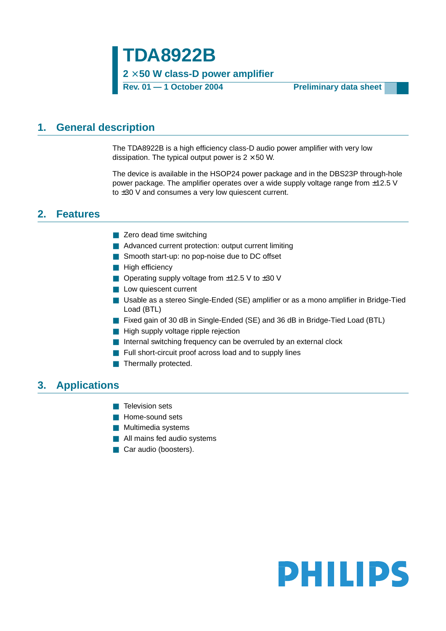**TDA8922B 2** × **50 W class-D power amplifier**

**Rev. 01 — 1 October 2004 Preliminary data sheet**

### <span id="page-0-0"></span>**1. General description**

The TDA8922B is a high efficiency class-D audio power amplifier with very low dissipation. The typical output power is  $2 \times 50$  W.

The device is available in the HSOP24 power package and in the DBS23P through-hole power package. The amplifier operates over a wide supply voltage range from  $\pm$ 12.5 V to ±30 V and consumes a very low quiescent current.

### <span id="page-0-1"></span>**2. Features**

- Zero dead time switching
- Advanced current protection: output current limiting
- Smooth start-up: no pop-noise due to DC offset
- High efficiencv
- Operating supply voltage from  $±12.5$  V to  $±30$  V
- Low quiescent current
- Usable as a stereo Single-Ended (SE) amplifier or as a mono amplifier in Bridge-Tied Load (BTL)
- Fixed gain of 30 dB in Single-Ended (SE) and 36 dB in Bridge-Tied Load (BTL)
- High supply voltage ripple rejection
- Internal switching frequency can be overruled by an external clock
- Full short-circuit proof across load and to supply lines
- Thermally protected.

### <span id="page-0-2"></span>**3. Applications**

- Television sets
- Home-sound sets
- Multimedia systems
- All mains fed audio systems
- Car audio (boosters).

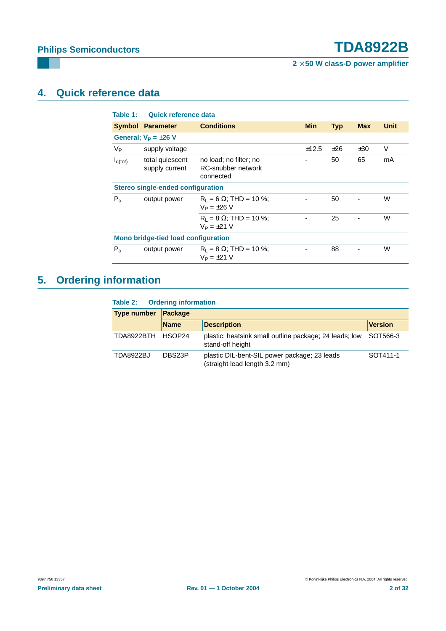**2** × **50 W class-D power amplifier**

# <span id="page-1-0"></span>**4. Quick reference data**

| Table 1:            | Quick reference data                     |                                                           |            |            |            |      |  |  |  |
|---------------------|------------------------------------------|-----------------------------------------------------------|------------|------------|------------|------|--|--|--|
|                     | <b>Symbol Parameter</b>                  | <b>Conditions</b>                                         | <b>Min</b> | <b>Typ</b> | <b>Max</b> | Unit |  |  |  |
|                     | General; $V_P = \pm 26$ V                |                                                           |            |            |            |      |  |  |  |
| Vр                  | supply voltage                           |                                                           | ±12.5      | ±26        | ±30        | V    |  |  |  |
| I <sub>q(tot)</sub> | total quiescent<br>supply current        | no load; no filter; no<br>RC-snubber network<br>connected |            | 50         | 65         | mA   |  |  |  |
|                     | <b>Stereo single-ended configuration</b> |                                                           |            |            |            |      |  |  |  |
| $P_{0}$             | output power                             | $R_1 = 6 \Omega$ ; THD = 10 %;<br>$V_P = \pm 26$ V        |            | 50         |            | W    |  |  |  |
|                     |                                          | $R_1 = 8 \Omega$ ; THD = 10 %;<br>$V_P = \pm 21$ V        |            | 25         |            | W    |  |  |  |
|                     | Mono bridge-tied load configuration      |                                                           |            |            |            |      |  |  |  |
| $P_{\alpha}$        | output power                             | $R_1 = 8 \Omega$ ; THD = 10 %;<br>$V_P = \pm 21$ V        |            | 88         |            | W    |  |  |  |
|                     |                                          |                                                           |            |            |            |      |  |  |  |

# <span id="page-1-1"></span>**5. Ordering information**

### **Table 2: Ordering information**

| <b>Type number</b> | <b>Package</b> |                                                                               |                |  |  |  |  |
|--------------------|----------------|-------------------------------------------------------------------------------|----------------|--|--|--|--|
|                    | <b>Name</b>    | <b>Description</b>                                                            | <b>Version</b> |  |  |  |  |
| TDA8922BTH HSOP24  |                | plastic; heatsink small outline package; 24 leads; low<br>stand-off height    | SOT566-3       |  |  |  |  |
| <b>TDA8922BJ</b>   | DBS23P         | plastic DIL-bent-SIL power package; 23 leads<br>(straight lead length 3.2 mm) | SOT411-1       |  |  |  |  |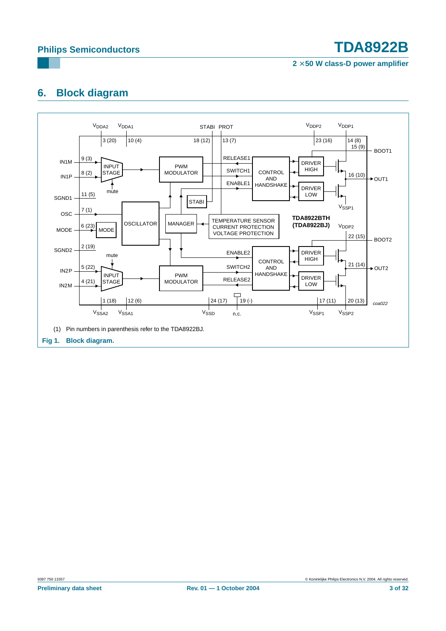**2** × **50 W class-D power amplifier**

# <span id="page-2-0"></span>**6. Block diagram**

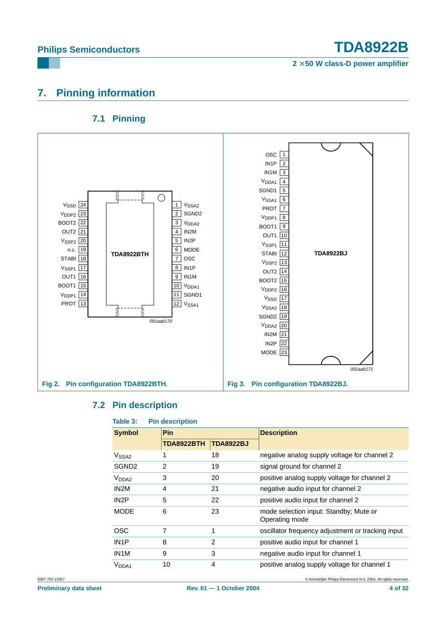**2** × **50 W class-D power amplifier**

## <span id="page-3-0"></span>**7. Pinning information**

### **7.1 Pinning**

<span id="page-3-1"></span>

### **7.2 Pin description**

<span id="page-3-2"></span>

| <b>Symbol</b>     | <b>Pin</b> |                  | <b>Description</b>                                       |
|-------------------|------------|------------------|----------------------------------------------------------|
|                   | TDA8922BTH | <b>TDA8922BJ</b> |                                                          |
| V <sub>SSA2</sub> |            | 18               | negative analog supply voltage for channel 2             |
| SGND <sub>2</sub> | 2          | 19               | signal ground for channel 2                              |
| V <sub>DDA2</sub> | 3          | 20               | positive analog supply voltage for channel 2             |
| IN <sub>2</sub> M | 4          | 21               | negative audio input for channel 2                       |
| IN <sub>2</sub> P | 5          | 22               | positive audio input for channel 2                       |
| <b>MODE</b>       | 6          | 23               | mode selection input: Standby; Mute or<br>Operating mode |
| <b>OSC</b>        | 7          | 1                | oscillator frequency adjustment or tracking input        |
| IN <sub>1</sub> P | 8          | 2                | positive audio input for channel 1                       |
| IN <sub>1</sub> M | 9          | 3                | negative audio input for channel 1                       |
| V <sub>DDA1</sub> | 10         | 4                | positive analog supply voltage for channel 1             |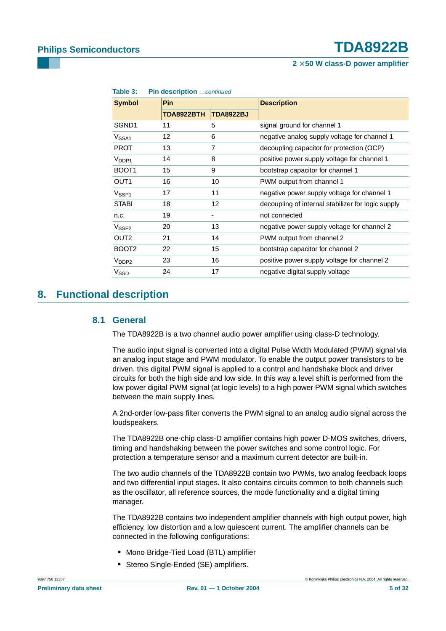| Table 3:          |  | <b>Pin description</b> continued |                   |                                                    |  |  |  |  |  |
|-------------------|--|----------------------------------|-------------------|----------------------------------------------------|--|--|--|--|--|
| <b>Symbol</b>     |  | <b>Pin</b>                       |                   | <b>Description</b>                                 |  |  |  |  |  |
|                   |  | TDA8922BTH                       | <b>TDA8922BJ</b>  |                                                    |  |  |  |  |  |
| SGND1             |  | 11                               | 5                 | signal ground for channel 1                        |  |  |  |  |  |
| V <sub>SSA1</sub> |  | 12                               | 6                 | negative analog supply voltage for channel 1       |  |  |  |  |  |
| <b>PROT</b>       |  | 13                               | 7                 | decoupling capacitor for protection (OCP)          |  |  |  |  |  |
| $V_{DDP1}$        |  | 14                               | 8                 | positive power supply voltage for channel 1        |  |  |  |  |  |
| BOOT <sub>1</sub> |  | 15                               | 9                 | bootstrap capacitor for channel 1                  |  |  |  |  |  |
| OUT <sub>1</sub>  |  | 16                               | 10                | PWM output from channel 1                          |  |  |  |  |  |
| V <sub>SSP1</sub> |  | 17                               | 11                | negative power supply voltage for channel 1        |  |  |  |  |  |
| <b>STABI</b>      |  | 18                               | $12 \overline{ }$ | decoupling of internal stabilizer for logic supply |  |  |  |  |  |
| n.c.              |  | 19                               |                   | not connected                                      |  |  |  |  |  |
| V <sub>SSP2</sub> |  | 20                               | 13                | negative power supply voltage for channel 2        |  |  |  |  |  |
| OUT <sub>2</sub>  |  | 21                               | 14                | PWM output from channel 2                          |  |  |  |  |  |
| BOOT <sub>2</sub> |  | 22                               | 15                | bootstrap capacitor for channel 2                  |  |  |  |  |  |
| $V_{\text{DDP2}}$ |  | 23                               | 16                | positive power supply voltage for channel 2        |  |  |  |  |  |
| $V_{\text{SSD}}$  |  | 24                               | 17                | negative digital supply voltage                    |  |  |  |  |  |

**Table 3: Pin description** …continued

### <span id="page-4-1"></span><span id="page-4-0"></span>**8. Functional description**

### **8.1 General**

The TDA8922B is a two channel audio power amplifier using class-D technology.

The audio input signal is converted into a digital Pulse Width Modulated (PWM) signal via an analog input stage and PWM modulator. To enable the output power transistors to be driven, this digital PWM signal is applied to a control and handshake block and driver circuits for both the high side and low side. In this way a level shift is performed from the low power digital PWM signal (at logic levels) to a high power PWM signal which switches between the main supply lines.

A 2nd-order low-pass filter converts the PWM signal to an analog audio signal across the loudspeakers.

The TDA8922B one-chip class-D amplifier contains high power D-MOS switches, drivers, timing and handshaking between the power switches and some control logic. For protection a temperature sensor and a maximum current detector are built-in.

The two audio channels of the TDA8922B contain two PWMs, two analog feedback loops and two differential input stages. It also contains circuits common to both channels such as the oscillator, all reference sources, the mode functionality and a digital timing manager.

The TDA8922B contains two independent amplifier channels with high output power, high efficiency, low distortion and a low quiescent current. The amplifier channels can be connected in the following configurations:

- **•** Mono Bridge-Tied Load (BTL) amplifier
- **•** Stereo Single-Ended (SE) amplifiers.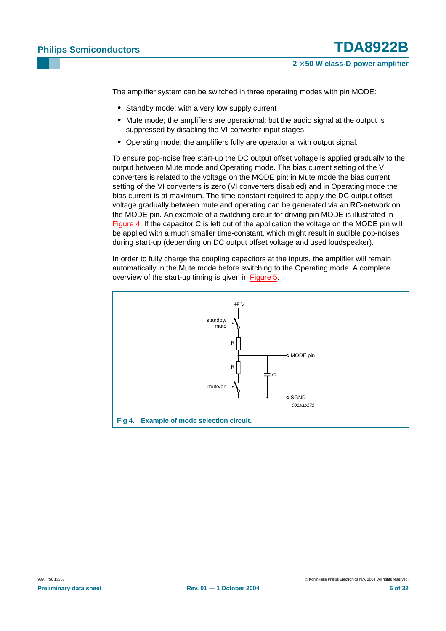The amplifier system can be switched in three operating modes with pin MODE:

- **•** Standby mode; with a very low supply current
- **•** Mute mode; the amplifiers are operational; but the audio signal at the output is suppressed by disabling the VI-converter input stages
- **•** Operating mode; the amplifiers fully are operational with output signal.

To ensure pop-noise free start-up the DC output offset voltage is applied gradually to the output between Mute mode and Operating mode. The bias current setting of the VI converters is related to the voltage on the MODE pin; in Mute mode the bias current setting of the VI converters is zero (VI converters disabled) and in Operating mode the bias current is at maximum. The time constant required to apply the DC output offset voltage gradually between mute and operating can be generated via an RC-network on the MODE pin. An example of a switching circuit for driving pin MODE is illustrated in [Figure](#page-5-0) 4. If the capacitor C is left out of the application the voltage on the MODE pin will be applied with a much smaller time-constant, which might result in audible pop-noises during start-up (depending on DC output offset voltage and used loudspeaker).

In order to fully charge the coupling capacitors at the inputs, the amplifier will remain automatically in the Mute mode before switching to the Operating mode. A complete overview of the start-up timing is given in [Figure](#page-6-0) 5.

<span id="page-5-0"></span>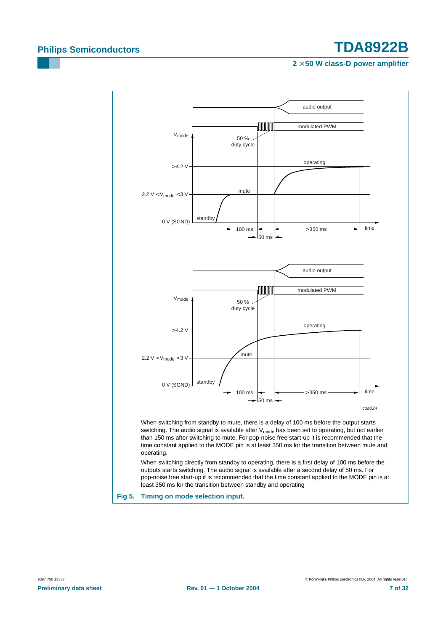<span id="page-6-0"></span>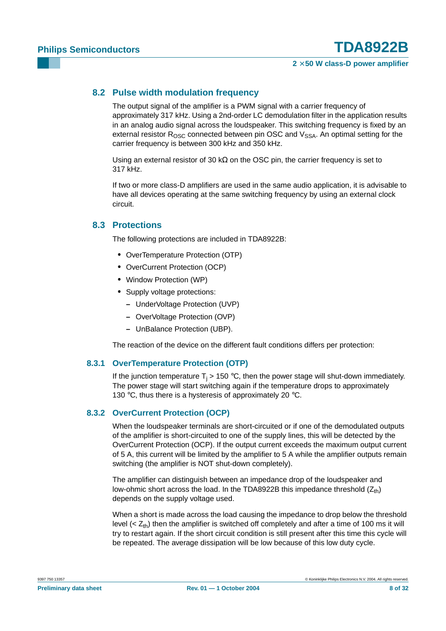### <span id="page-7-0"></span>**8.2 Pulse width modulation frequency**

The output signal of the amplifier is a PWM signal with a carrier frequency of approximately 317 kHz. Using a 2nd-order LC demodulation filter in the application results in an analog audio signal across the loudspeaker. This switching frequency is fixed by an external resistor  $R_{\text{OSC}}$  connected between pin OSC and  $V_{\text{SSA}}$ . An optimal setting for the carrier frequency is between 300 kHz and 350 kHz.

Using an external resistor of 30 k $\Omega$  on the OSC pin, the carrier frequency is set to 317 kHz.

If two or more class-D amplifiers are used in the same audio application, it is advisable to have all devices operating at the same switching frequency by using an external clock circuit.

### <span id="page-7-1"></span>**8.3 Protections**

The following protections are included in TDA8922B:

- **•** OverTemperature Protection (OTP)
- **•** OverCurrent Protection (OCP)
- **•** Window Protection (WP)
- **•** Supply voltage protections:
	- **–** UnderVoltage Protection (UVP)
	- **–** OverVoltage Protection (OVP)
	- **–** UnBalance Protection (UBP).

The reaction of the device on the different fault conditions differs per protection:

### <span id="page-7-2"></span>**8.3.1 OverTemperature Protection (OTP)**

If the junction temperature  $T_i > 150$  °C, then the power stage will shut-down immediately. The power stage will start switching again if the temperature drops to approximately 130 °C, thus there is a hysteresis of approximately 20 °C.

### <span id="page-7-3"></span>**8.3.2 OverCurrent Protection (OCP)**

When the loudspeaker terminals are short-circuited or if one of the demodulated outputs of the amplifier is short-circuited to one of the supply lines, this will be detected by the OverCurrent Protection (OCP). If the output current exceeds the maximum output current of 5 A, this current will be limited by the amplifier to 5 A while the amplifier outputs remain switching (the amplifier is NOT shut-down completely).

The amplifier can distinguish between an impedance drop of the loudspeaker and low-ohmic short across the load. In the TDA8922B this impedance threshold  $(Z_{th})$ depends on the supply voltage used.

When a short is made across the load causing the impedance to drop below the threshold level  $( $Z_{\text{th}}$ )$  then the amplifier is switched off completely and after a time of 100 ms it will try to restart again. If the short circuit condition is still present after this time this cycle will be repeated. The average dissipation will be low because of this low duty cycle.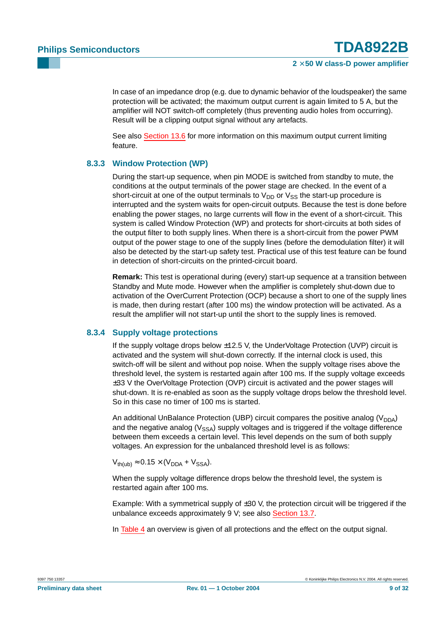In case of an impedance drop (e.g. due to dynamic behavior of the loudspeaker) the same protection will be activated; the maximum output current is again limited to 5 A, but the amplifier will NOT switch-off completely (thus preventing audio holes from occurring). Result will be a clipping output signal without any artefacts.

See also [Section](#page-16-0) 13.6 for more information on this maximum output current limiting feature.

### <span id="page-8-0"></span>**8.3.3 Window Protection (WP)**

During the start-up sequence, when pin MODE is switched from standby to mute, the conditions at the output terminals of the power stage are checked. In the event of a short-circuit at one of the output terminals to  $V_{DD}$  or  $V_{SS}$  the start-up procedure is interrupted and the system waits for open-circuit outputs. Because the test is done before enabling the power stages, no large currents will flow in the event of a short-circuit. This system is called Window Protection (WP) and protects for short-circuits at both sides of the output filter to both supply lines. When there is a short-circuit from the power PWM output of the power stage to one of the supply lines (before the demodulation filter) it will also be detected by the start-up safety test. Practical use of this test feature can be found in detection of short-circuits on the printed-circuit board.

**Remark:** This test is operational during (every) start-up sequence at a transition between Standby and Mute mode. However when the amplifier is completely shut-down due to activation of the OverCurrent Protection (OCP) because a short to one of the supply lines is made, then during restart (after 100 ms) the window protection will be activated. As a result the amplifier will not start-up until the short to the supply lines is removed.

### <span id="page-8-1"></span>**8.3.4 Supply voltage protections**

If the supply voltage drops below  $\pm$ 12.5 V, the UnderVoltage Protection (UVP) circuit is activated and the system will shut-down correctly. If the internal clock is used, this switch-off will be silent and without pop noise. When the supply voltage rises above the threshold level, the system is restarted again after 100 ms. If the supply voltage exceeds ±33 V the OverVoltage Protection (OVP) circuit is activated and the power stages will shut-down. It is re-enabled as soon as the supply voltage drops below the threshold level. So in this case no timer of 100 ms is started.

An additional UnBalance Protection (UBP) circuit compares the positive analog ( $V<sub>DDA</sub>$ ) and the negative analog ( $V_{SSA}$ ) supply voltages and is triggered if the voltage difference between them exceeds a certain level. This level depends on the sum of both supply voltages. An expression for the unbalanced threshold level is as follows:

 $V_{th(ub)} \approx 0.15 \times (V_{DDA} + V_{SSA}).$ 

When the supply voltage difference drops below the threshold level, the system is restarted again after 100 ms.

Example: With a symmetrical supply of ±30 V, the protection circuit will be triggered if the unbalance exceeds approximately 9 V; see also [Section](#page-17-0) 13.7.

In [Table](#page-9-0) 4 an overview is given of all protections and the effect on the output signal.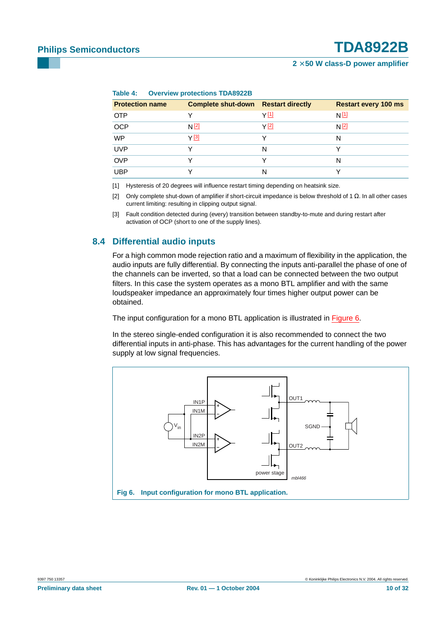**2** × **50 W class-D power amplifier**

|                        | $1000 - 1$                                 |       |                             |  |  |  |  |  |  |
|------------------------|--------------------------------------------|-------|-----------------------------|--|--|--|--|--|--|
| <b>Protection name</b> | <b>Complete shut-down Restart directly</b> |       | <b>Restart every 100 ms</b> |  |  |  |  |  |  |
| <b>OTP</b>             |                                            | Y [1] | $N$ $[1]$                   |  |  |  |  |  |  |
| <b>OCP</b>             | N <sup>[2]</sup>                           | Y [2] | N <sup>[2]</sup>            |  |  |  |  |  |  |
| <b>WP</b>              | Y [3]                                      |       | N                           |  |  |  |  |  |  |
| <b>UVP</b>             |                                            | N     |                             |  |  |  |  |  |  |
| <b>OVP</b>             |                                            |       | N                           |  |  |  |  |  |  |
| <b>UBP</b>             |                                            | N     |                             |  |  |  |  |  |  |

<span id="page-9-0"></span>**Table 4: Overview protections TDA8922B**

<span id="page-9-1"></span>[1] Hysteresis of 20 degrees will influence restart timing depending on heatsink size.

<span id="page-9-2"></span>[2] Only complete shut-down of amplifier if short-circuit impedance is below threshold of 1 Ω. In all other cases current limiting: resulting in clipping output signal.

<span id="page-9-3"></span>[3] Fault condition detected during (every) transition between standby-to-mute and during restart after activation of OCP (short to one of the supply lines).

### <span id="page-9-5"></span>**8.4 Differential audio inputs**

For a high common mode rejection ratio and a maximum of flexibility in the application, the audio inputs are fully differential. By connecting the inputs anti-parallel the phase of one of the channels can be inverted, so that a load can be connected between the two output filters. In this case the system operates as a mono BTL amplifier and with the same loudspeaker impedance an approximately four times higher output power can be obtained.

The input configuration for a mono BTL application is illustrated in [Figure](#page-9-4) 6.

In the stereo single-ended configuration it is also recommended to connect the two differential inputs in anti-phase. This has advantages for the current handling of the power supply at low signal frequencies.

<span id="page-9-4"></span>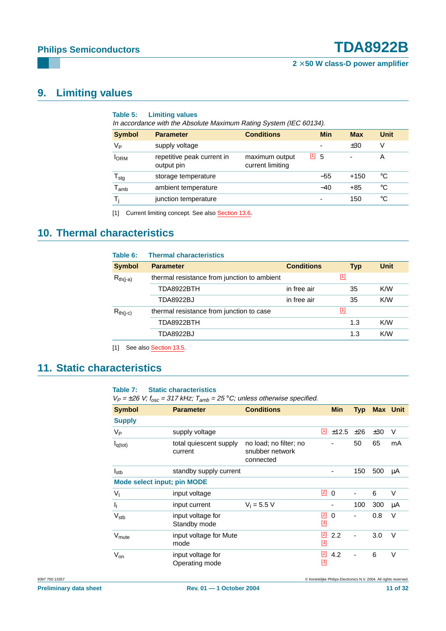# <span id="page-10-2"></span>**9. Limiting values**

| Table 5:<br><b>Limiting values</b><br>In accordance with the Absolute Maximum Rating System (IEC 60134). |                                          |                                    |                          |            |             |  |  |  |
|----------------------------------------------------------------------------------------------------------|------------------------------------------|------------------------------------|--------------------------|------------|-------------|--|--|--|
| <b>Symbol</b>                                                                                            | <b>Parameter</b>                         | <b>Conditions</b>                  | <b>Min</b>               | <b>Max</b> | <b>Unit</b> |  |  |  |
| $V_{\mathsf{P}}$                                                                                         | supply voltage                           |                                    | $\overline{\phantom{0}}$ | ±30        | ٧           |  |  |  |
| <b>I</b> ORM                                                                                             | repetitive peak current in<br>output pin | maximum output<br>current limiting | $[1]$ 5                  |            | Α           |  |  |  |
| ${\mathsf T}_{\text{stg}}$                                                                               | storage temperature                      |                                    | $-55$                    | $+150$     | °C          |  |  |  |
| $\mathsf{T}_{\mathsf{amb}}$                                                                              | ambient temperature                      |                                    | $-40$                    | +85        | °C          |  |  |  |
| T,                                                                                                       | junction temperature                     |                                    | $\overline{\phantom{a}}$ | 150        | °C          |  |  |  |

<span id="page-10-0"></span>[1] Current limiting concept. See also [Section](#page-16-0) 13.6.

### <span id="page-10-3"></span>**10. Thermal characteristics**

| Table 6:      | <b>Thermal characteristics</b>              |                   |            |             |
|---------------|---------------------------------------------|-------------------|------------|-------------|
| <b>Symbol</b> | <b>Parameter</b>                            | <b>Conditions</b> | <b>Typ</b> | <b>Unit</b> |
| $R_{th(i-a)}$ | thermal resistance from junction to ambient |                   | $[1]$      |             |
|               | TDA8922BTH                                  | in free air       | 35         | K/W         |
|               | <b>TDA8922BJ</b>                            | in free air       | 35         | K/W         |
| $R_{th(i-c)}$ | thermal resistance from junction to case    |                   | $[1]$      |             |
|               | TDA8922BTH                                  |                   | 1.3        | K/W         |
|               | TDA8922BJ                                   |                   | 1.3        | K/W         |
|               |                                             |                   |            |             |

<span id="page-10-1"></span>[1] See also **[Section](#page-16-1) 13.5**.

### <span id="page-10-4"></span>**11. Static characteristics**

### **Table 7: Static characteristics**

 $V_P = \pm 26$  V;  $f_{osc} = 317$  kHz;  $T_{amb} = 25$  °C; unless otherwise specified.

| <b>Symbol</b>                      | <b>Parameter</b>                    | <b>Conditions</b>                                      |                   | <b>Min</b> | <b>Typ</b> |     | <b>Max</b> Unit |
|------------------------------------|-------------------------------------|--------------------------------------------------------|-------------------|------------|------------|-----|-----------------|
| <b>Supply</b>                      |                                     |                                                        |                   |            |            |     |                 |
| V <sub>Р</sub>                     | supply voltage                      |                                                        | $[1]$             | ±12.5      | ±26        | ±30 | V               |
| $I_{q(tot)}$                       | total quiescent supply<br>current   | no load; no filter; no<br>snubber network<br>connected |                   |            | 50         | 65  | mA              |
| $I_{\rm stb}$                      | standby supply current              |                                                        |                   | -          | 150        | 500 | μA              |
| <b>Mode select input; pin MODE</b> |                                     |                                                        |                   |            |            |     |                 |
| $V_{\parallel}$                    | input voltage                       |                                                        | $[2]$             | $\Omega$   |            | 6   | V               |
| $\mathbf{I}_{\mathbf{I}}$          | input current                       | $V_1 = 5.5 V$                                          |                   |            | 100        | 300 | μA              |
| $V_{\text{stb}}$                   | input voltage for<br>Standby mode   |                                                        | $[2]$<br>$^{[3]}$ | $\Omega$   | ä,         | 0.8 | V               |
| V <sub>mute</sub>                  | input voltage for Mute<br>mode      |                                                        | $[2]$<br>$[3]$    | 2.2        |            | 3.0 | $\vee$          |
| $V_{on}$                           | input voltage for<br>Operating mode |                                                        | $[2]$<br>$[3]$    | 4.2        |            | 6   | $\vee$          |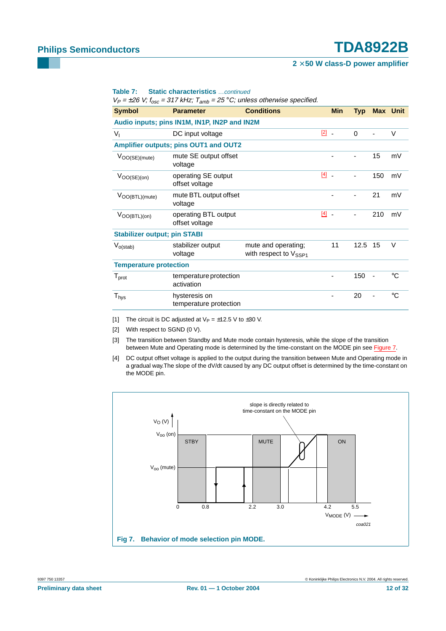#### **2** × **50 W class-D power amplifier**

| Table 7: |  | <b>Static characteristics</b> continued |  |
|----------|--|-----------------------------------------|--|
|----------|--|-----------------------------------------|--|

 $V_P = \pm 26$  V;  $f_{osc} = 317$  kHz;  $T_{amb} = 25$  °C; unless otherwise specified.

| <b>Symbol</b>                       | <b>Parameter</b>                             | <b>Conditions</b>                                        |           | <b>Min</b>               | <b>Typ</b> |     | <b>Max Unit</b> |
|-------------------------------------|----------------------------------------------|----------------------------------------------------------|-----------|--------------------------|------------|-----|-----------------|
|                                     | Audio inputs; pins IN1M, IN1P, IN2P and IN2M |                                                          |           |                          |            |     |                 |
| $V_{I}$                             | DC input voltage                             |                                                          | $[2]$     | $\overline{\phantom{a}}$ | $\Omega$   |     | $\vee$          |
|                                     | Amplifier outputs; pins OUT1 and OUT2        |                                                          |           |                          |            |     |                 |
| $ V_{OO(SE)(mute)} $                | mute SE output offset<br>voltage             |                                                          |           |                          |            | 15  | mV              |
| $ V_{OO(SE)(on)} $                  | operating SE output<br>offset voltage        |                                                          | $[4]$ $-$ |                          |            | 150 | mV              |
| $ V_{OO(BTL)(mute)} $               | mute BTL output offset<br>voltage            |                                                          |           |                          |            | 21  | mV              |
| $ V_{OO(BTL)(on)} $                 | operating BTL output<br>offset voltage       |                                                          | $[4]$ $-$ |                          |            | 210 | mV              |
| <b>Stabilizer output; pin STABI</b> |                                              |                                                          |           |                          |            |     |                 |
| $V_{o(stat)}$                       | stabilizer output<br>voltage                 | mute and operating;<br>with respect to $V_{\text{SSP1}}$ |           | 11                       | 12.5       | 15  | V               |
| <b>Temperature protection</b>       |                                              |                                                          |           |                          |            |     |                 |
| $T_{\text{prot}}$                   | temperature protection<br>activation         |                                                          |           |                          | 150        |     | ℃               |
| $\mathsf{T}_{\mathsf{hys}}$         | hysteresis on<br>temperature protection      |                                                          |           |                          | 20         |     | $^{\circ}C$     |

<span id="page-11-0"></span>[1] The circuit is DC adjusted at  $V_P = \pm 12.5$  V to  $\pm 30$  V.

<span id="page-11-1"></span>[2] With respect to SGND (0 V).

<span id="page-11-2"></span>[3] The transition between Standby and Mute mode contain hysteresis, while the slope of the transition between Mute and Operating mode is determined by the time-constant on the MODE pin see [Figure](#page-11-4) 7.

<span id="page-11-3"></span>[4] DC output offset voltage is applied to the output during the transition between Mute and Operating mode in a gradual way.The slope of the dV/dt caused by any DC output offset is determined by the time-constant on the MODE pin.

<span id="page-11-4"></span>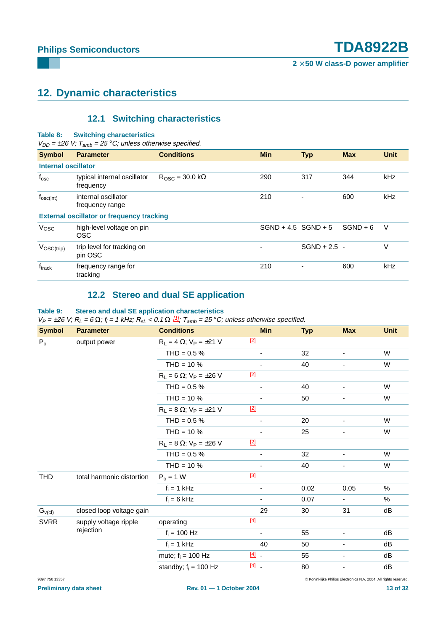## <span id="page-12-1"></span>**12. Dynamic characteristics**

### **12.1 Switching characteristics**

#### <span id="page-12-0"></span>**Table 8: Switching characteristics**

 $V_{DD} = \pm 26$  V;  $T_{amb} = 25$  °C; unless otherwise specified.

| <b>Symbol</b>              | <b>Parameter</b>                                 | <b>Conditions</b>                | <b>Min</b>            | <b>Typ</b>     | <b>Max</b> | <b>Unit</b> |
|----------------------------|--------------------------------------------------|----------------------------------|-----------------------|----------------|------------|-------------|
| <b>Internal oscillator</b> |                                                  |                                  |                       |                |            |             |
| $f_{\rm osc}$              | typical internal oscillator<br>frequency         | $R_{OSC} = 30.0 \text{ k}\Omega$ | 290                   | 317            | 344        | kHz         |
| $f_{\rm osc(int)}$         | internal oscillator<br>frequency range           |                                  | 210                   |                | 600        | kHz         |
|                            | <b>External oscillator or frequency tracking</b> |                                  |                       |                |            |             |
| Vosc                       | high-level voltage on pin<br><b>OSC</b>          |                                  | $SGND + 4.5 SGND + 5$ |                | $SGND + 6$ | V           |
| $V_{\rm OSC(trip)}$        | trip level for tracking on<br>pin OSC            |                                  |                       | $SGND + 2.5 -$ |            | V           |
| $f_{\text{track}}$         | frequency range for<br>tracking                  |                                  | 210                   | ۰              | 600        | kHz         |

### **12.2 Stereo and dual SE application**

#### <span id="page-12-2"></span>**Table 9: Stereo and dual SE application characteristics**

 $V_P = \pm 26$  V;  $R_L = 6 \Omega$ ;  $f_i = 1$  kHz;  $R_{sL} < 0.1 \Omega \frac{11}{sL}$ ;  $T_{amb} = 25 \degree C$ ; unless otherwise specified.

| <b>Symbol</b>  | <b>Parameter</b>          | <b>Conditions</b>                   | <b>Min</b>               | <b>Typ</b> | <b>Max</b>                                                        | <b>Unit</b> |
|----------------|---------------------------|-------------------------------------|--------------------------|------------|-------------------------------------------------------------------|-------------|
| P <sub>o</sub> | output power              | $R_L = 4 \Omega$ ; $V_P = \pm 21 V$ | $[2]$                    |            |                                                                   |             |
|                |                           | $THD = 0.5 %$                       | $\overline{\phantom{a}}$ | 32         | $\overline{\phantom{a}}$                                          | W           |
|                |                           | $THD = 10 \%$                       |                          | 40         | ÷,                                                                | W           |
|                |                           | $R_L = 6 \Omega$ ; $V_P = \pm 26 V$ | $[2]$                    |            |                                                                   |             |
|                |                           | $THD = 0.5 %$                       | $\overline{\phantom{a}}$ | 40         | -                                                                 | W           |
|                |                           | $THD = 10 \%$                       |                          | 50         | ٠                                                                 | W           |
|                |                           | $R_L = 8 \Omega$ ; $V_P = \pm 21 V$ | $[2]$                    |            |                                                                   |             |
|                |                           | THD = $0.5\%$                       | $\overline{\phantom{a}}$ | 20         | $\overline{\phantom{0}}$                                          | W           |
|                |                           | $THD = 10 \%$                       | $\overline{\phantom{a}}$ | 25         |                                                                   | W           |
|                |                           | $R_L = 8 \Omega$ ; $V_P = \pm 26 V$ | $[2]$                    |            |                                                                   |             |
|                |                           | THD = $0.5%$                        | $\blacksquare$           | 32         | ۰                                                                 | W           |
|                |                           | $THD = 10 \%$                       |                          | 40         | ٠                                                                 | W           |
| <b>THD</b>     | total harmonic distortion | $P_0 = 1$ W                         | $[3]$                    |            |                                                                   |             |
|                |                           | $f_i = 1$ kHz                       | $\overline{\phantom{a}}$ | 0.02       | 0.05                                                              | $\%$        |
|                |                           | $f_i = 6$ kHz                       |                          | 0.07       |                                                                   | %           |
| $G_{V(cl)}$    | closed loop voltage gain  |                                     | 29                       | 30         | 31                                                                | dB          |
| <b>SVRR</b>    | supply voltage ripple     | operating                           | $[4]$                    |            |                                                                   |             |
|                | rejection                 | $f_i = 100$ Hz                      |                          | 55         |                                                                   | dB          |
|                |                           | $f_i = 1$ kHz                       | 40                       | 50         | -                                                                 | dB          |
|                |                           | mute; $f_i = 100$ Hz                | $[4]$                    | 55         | -                                                                 | dB          |
|                |                           | standby; $f_i = 100$ Hz             | $[4]$                    | 80         |                                                                   | dB          |
| 9397 750 13357 |                           |                                     |                          |            | © Koninklijke Philips Electronics N.V. 2004. All rights reserved. |             |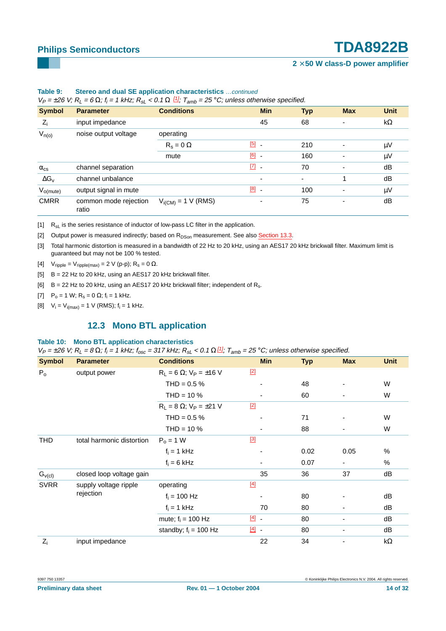### **2** × **50 W class-D power amplifier**

| <b>Symbol</b>        | <b>Parameter</b>               | <u>anv</u><br><b>Conditions</b> | <b>Min</b>               | <b>Typ</b>     | <b>Max</b>               | <b>Unit</b> |
|----------------------|--------------------------------|---------------------------------|--------------------------|----------------|--------------------------|-------------|
|                      |                                |                                 |                          |                |                          |             |
| $ Z_i $              | input impedance                |                                 | 45                       | 68             | ٠                        | $k\Omega$   |
| $V_{n(o)}$           | noise output voltage           | operating                       |                          |                |                          |             |
|                      |                                | $R_s = 0 \Omega$                | [5]<br>$\blacksquare$    | 210            | ٠                        | $\mu V$     |
|                      |                                | mute                            | $[6]$ .                  | 160            | $\overline{\phantom{0}}$ | $\mu V$     |
| $\alpha_{\rm cs}$    | channel separation             |                                 | $\boxed{7}$ .            | 70             | $\overline{\phantom{0}}$ | dB          |
| $ \Delta G_{\rm v} $ | channel unbalance              |                                 | $\overline{\phantom{0}}$ | $\blacksquare$ |                          | dB          |
| $V_{o(mute)}$        | output signal in mute          |                                 | $[8]$ .                  | 100            | ٠                        | $\mu V$     |
| <b>CMRR</b>          | common mode rejection<br>ratio | $V_{i(CM)} = 1 V (RMS)$         |                          | 75             | ٠                        | dB          |

### **Table 9: Stereo and dual SE application characteristics** …continued

 $V_P = \pm 26$  V;  $R_L = 6$  Ω;  $f_i = 1$  kHz;  $R_{sL} < 0.1$  Ω  $\frac{11}{2}$ ;  $T_{amb} = 25$  °C; unless otherwise specified.

<span id="page-13-0"></span> $\begin{bmatrix} 1 \end{bmatrix}$  R<sub>sL</sub> is the series resistance of inductor of low-pass LC filter in the application.

<span id="page-13-1"></span>[2] Output power is measured indirectly; based on R<sub>DSon</sub> measurement. See also [Section](#page-14-0) 13.3.

<span id="page-13-2"></span>[3] Total harmonic distortion is measured in a bandwidth of 22 Hz to 20 kHz, using an AES17 20 kHz brickwall filter. Maximum limit is guaranteed but may not be 100 % tested.

<span id="page-13-3"></span>[4]  $V_{\text{ripple}} = V_{\text{ripple(max)}} = 2 \text{ V (p-p)}$ ;  $R_s = 0 \Omega$ .

- <span id="page-13-4"></span>[5] B = 22 Hz to 20 kHz, using an AES17 20 kHz brickwall filter.
- <span id="page-13-5"></span>[6]  $B = 22$  Hz to 20 kHz, using an AES17 20 kHz brickwall filter; independent of R<sub>s</sub>.
- <span id="page-13-6"></span>[7]  $P_0 = 1$  W;  $R_s = 0$  Ω;  $f_i = 1$  kHz.
- <span id="page-13-8"></span><span id="page-13-7"></span>[8]  $V_i = V_{i(max)} = 1$  V (RMS);  $f_i = 1$  kHz.

### **12.3 Mono BTL application**

#### **Table 10: Mono BTL application characteristics**

 $V_P = \pm 26$  V;  $R_L = 8 \Omega$ ;  $f_i = 1$  kHz;  $f_{osc} = 317$  kHz;  $R_{sL} < 0.1 \Omega \frac{11}{3}$ ;  $T_{amb} = 25 \degree C$ ; unless otherwise specified.

| <b>Symbol</b> | <b>Parameter</b>                   | <b>Conditions</b>                   |         | <b>Min</b>               | <b>Typ</b> | <b>Max</b> | <b>Unit</b> |
|---------------|------------------------------------|-------------------------------------|---------|--------------------------|------------|------------|-------------|
| $P_{o}$       | output power                       | $R_L = 6 \Omega$ ; $V_P = \pm 16 V$ | $[2]$   |                          |            |            |             |
|               |                                    | $THD = 0.5 \%$                      |         |                          | 48         |            | W           |
|               |                                    | THD = $10\%$                        |         |                          | 60         |            | W           |
|               |                                    | $R_L = 8 \Omega$ ; $V_P = \pm 21 V$ | $[2]$   |                          |            |            |             |
|               |                                    | THD = $0.5%$                        |         |                          | 71         |            | W           |
|               |                                    | $THD = 10 \%$                       |         | $\overline{\phantom{0}}$ | 88         |            | W           |
| <b>THD</b>    | total harmonic distortion          | $P_0 = 1 W$                         | $[3]$   |                          |            |            |             |
|               |                                    | $f_i = 1$ kHz                       |         |                          | 0.02       | 0.05       | %           |
|               |                                    | $f_i = 6$ kHz                       |         |                          | 0.07       |            | $\%$        |
| $G_{\nu(cl)}$ | closed loop voltage gain           |                                     |         | 35                       | 36         | 37         | dB          |
| <b>SVRR</b>   | supply voltage ripple<br>rejection | operating                           | $[4]$   |                          |            |            |             |
|               |                                    | $f_i = 100$ Hz                      |         |                          | 80         |            | dB          |
|               |                                    | $f_i = 1$ kHz                       |         | 70                       | 80         |            | dB          |
|               |                                    | mute; $f_i = 100$ Hz                | $[4]$ . |                          | 80         |            | dB          |
|               |                                    | standby; $f_i = 100$ Hz             | $[4]$   |                          | 80         |            | dB          |
| $ Z_i $       | input impedance                    |                                     |         | 22                       | 34         |            | $k\Omega$   |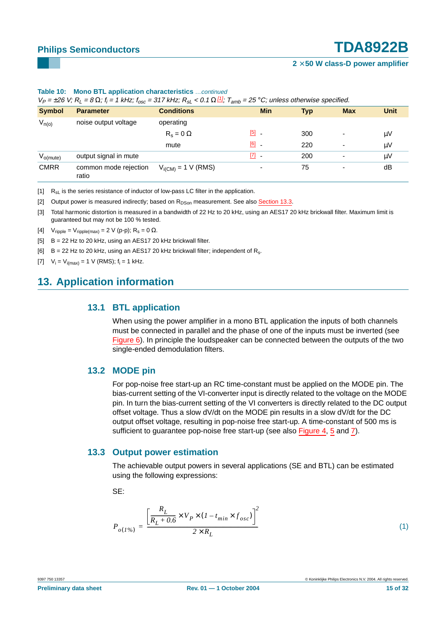| <b>Symbol</b> | <b>Parameter</b>               | <b>Conditions</b>       | <b>Min</b>                        | <b>Typ</b> | <b>Max</b>               | <b>Unit</b> |
|---------------|--------------------------------|-------------------------|-----------------------------------|------------|--------------------------|-------------|
| $V_{n(o)}$    | noise output voltage           | operating               |                                   |            |                          |             |
|               |                                | $R_e = 0 \Omega$        | [5]                               | 300        | $\overline{\phantom{0}}$ | μV          |
|               |                                | mute                    | $[6]$ $-$                         | 220        | $\overline{\phantom{0}}$ | $\mu V$     |
| $V_{o(mute)}$ | output signal in mute          |                         | $\begin{bmatrix} 7 \end{bmatrix}$ | 200        | $\overline{\phantom{0}}$ | μV          |
| <b>CMRR</b>   | common mode rejection<br>ratio | $V_{i(CM)} = 1 V (RMS)$ |                                   | 75         | $\overline{\phantom{0}}$ | dB          |

#### **Table 10: Mono BTL application characteristics** …continued

 $V_P = \pm 26$  V;  $R_L = 8$  Ω;  $f_i$  $\kappa =$  1 kHz; f $_{osc}$  = 317 kHz; R $_{sl}$  < 0.1 Ω  $^{111}_{-11}$ ; T $_{amb}$  = 25 °C; unless otherwise specified.

<span id="page-14-1"></span> $\begin{bmatrix} 1 \end{bmatrix}$  R<sub>sL</sub> is the series resistance of inductor of low-pass LC filter in the application.

<span id="page-14-2"></span>[2] Output power is measured indirectly; based on  $R_{DSon}$  measurement. See also [Section](#page-14-0) 13.3.

- <span id="page-14-3"></span>[3] Total harmonic distortion is measured in a bandwidth of 22 Hz to 20 kHz, using an AES17 20 kHz brickwall filter. Maximum limit is guaranteed but may not be 100 % tested.
- <span id="page-14-4"></span>[4]  $V_{\text{ripole}} = V_{\text{ripole(max)}} = 2 \text{ V (p-p)}$ ;  $R_s = 0 \Omega$ .
- <span id="page-14-5"></span>[5] B = 22 Hz to 20 kHz, using an AES17 20 kHz brickwall filter.
- <span id="page-14-6"></span>[6]  $B = 22$  Hz to 20 kHz, using an AES17 20 kHz brickwall filter; independent of R<sub>s</sub>.

<span id="page-14-7"></span>[7]  $V_i = V_{i(max)} = 1$  V (RMS);  $f_i = 1$  kHz.

### <span id="page-14-9"></span><span id="page-14-8"></span>**13. Application information**

### **13.1 BTL application**

When using the power amplifier in a mono BTL application the inputs of both channels must be connected in parallel and the phase of one of the inputs must be inverted (see [Figure](#page-9-4) 6). In principle the loudspeaker can be connected between the outputs of the two single-ended demodulation filters.

### <span id="page-14-10"></span>**13.2 MODE pin**

For pop-noise free start-up an RC time-constant must be applied on the MODE pin. The bias-current setting of the VI-converter input is directly related to the voltage on the MODE pin. In turn the bias-current setting of the VI converters is directly related to the DC output offset voltage. Thus a slow dV/dt on the MODE pin results in a slow dV/dt for the DC output offset voltage, resulting in pop-noise free start-up. A time-constant of 500 ms is sufficient to quarantee pop-noise free start-up (see also [Figure](#page-5-0) 4, [5](#page-6-0) and [7\)](#page-11-4).

### <span id="page-14-0"></span>**13.3 Output power estimation**

The achievable output powers in several applications (SE and BTL) can be estimated using the following expressions:

SE:

$$
P_{o(1\%)} = \frac{\left[\frac{R_L}{R_L + 0.6} \times V_P \times (1 - t_{min} \times f_{osc})\right]^2}{2 \times R_L}
$$
\n(1)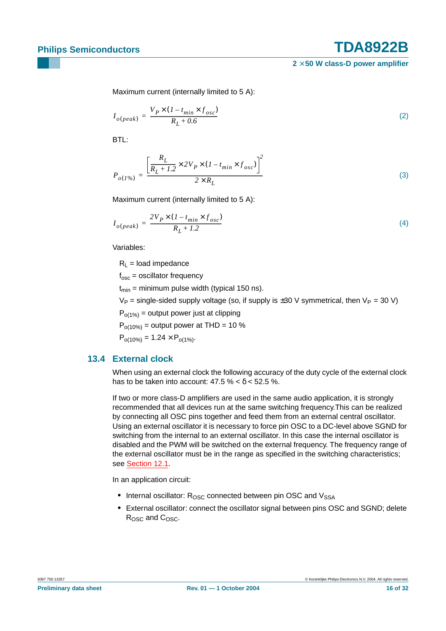Maximum current (internally limited to 5 A):

$$
I_{o (peak)} = \frac{V_P \times (1 - t_{min} \times f_{osc})}{R_L + 0.6}
$$
 (2)

BTL:

$$
P_{o(1\%)} = \frac{\left[\frac{R_L}{R_L + 1.2} \times 2V_P \times (1 - t_{min} \times f_{osc})\right]^2}{2 \times R_L}
$$
(3)

Maximum current (internally limited to 5 A):

$$
I_{o (peak)} = \frac{2V_P \times (1 - t_{min} \times f_{osc})}{R_L + 1.2}
$$
\n<sup>(4)</sup>

Variables:

 $R_L$  = load impedance

 $f_{osc}$  = oscillator frequency

 $t_{min}$  = minimum pulse width (typical 150 ns).

 $V_P$  = single-sided supply voltage (so, if supply is  $\pm 30$  V symmetrical, then  $V_P$  = 30 V)

 $P_{o(1\%)}$  = output power just at clipping

 $P_{o(10\%)}$  = output power at THD = 10 %

 $P_{o(10\%)} = 1.24 \times P_{o(1\%)}$ .

### <span id="page-15-0"></span>**13.4 External clock**

When using an external clock the following accuracy of the duty cycle of the external clock has to be taken into account:  $47.5\% < \delta < 52.5\%$ .

If two or more class-D amplifiers are used in the same audio application, it is strongly recommended that all devices run at the same switching frequency.This can be realized by connecting all OSC pins together and feed them from an external central oscillator. Using an external oscillator it is necessary to force pin OSC to a DC-level above SGND for switching from the internal to an external oscillator. In this case the internal oscillator is disabled and the PWM will be switched on the external frequency. The frequency range of the external oscillator must be in the range as specified in the switching characteristics; see [Section](#page-12-0) 12.1.

In an application circuit:

- Internal oscillator: R<sub>OSC</sub> connected between pin OSC and V<sub>SSA</sub>
- **•** External oscillator: connect the oscillator signal between pins OSC and SGND; delete R<sub>OSC</sub> and C<sub>OSC</sub>.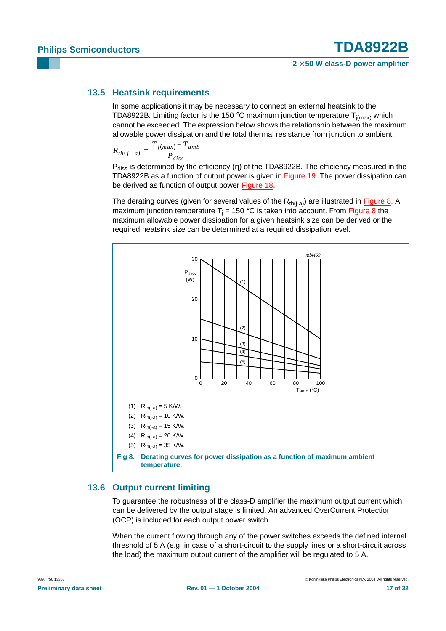### <span id="page-16-1"></span>**13.5 Heatsink requirements**

In some applications it may be necessary to connect an external heatsink to the TDA8922B. Limiting factor is the 150 °C maximum junction temperature  $T_{j(max)}$  which cannot be exceeded. The expression below shows the relationship between the maximum allowable power dissipation and the total thermal resistance from junction to ambient:

$$
R_{th(j-a)} = \frac{T_{j(max)} - T_{amb}}{P_{diss}}
$$

 $P_{\text{diss}}$  is determined by the efficiency (η) of the TDA8922B. The efficiency measured in the TDA8922B as a function of output power is given in [Figure](#page-22-0) 19. The power dissipation can be derived as function of output power [Figure](#page-22-1) 18.

The derating curves (given for several values of the  $R_{th(i-a)}$ ) are illustrated in [Figure](#page-16-2) 8. A maximum junction temperature  $T_i = 150$  °C is taken into account. From [Figure](#page-16-2) 8 the maximum allowable power dissipation for a given heatsink size can be derived or the required heatsink size can be determined at a required dissipation level.



### <span id="page-16-2"></span><span id="page-16-0"></span>**13.6 Output current limiting**

To guarantee the robustness of the class-D amplifier the maximum output current which can be delivered by the output stage is limited. An advanced OverCurrent Protection (OCP) is included for each output power switch.

When the current flowing through any of the power switches exceeds the defined internal threshold of 5 A (e.g. in case of a short-circuit to the supply lines or a short-circuit across the load) the maximum output current of the amplifier will be regulated to 5 A.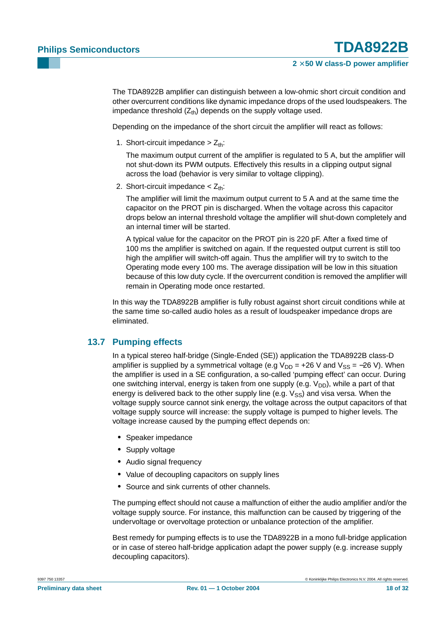The TDA8922B amplifier can distinguish between a low-ohmic short circuit condition and other overcurrent conditions like dynamic impedance drops of the used loudspeakers. The impedance threshold  $(Z<sub>th</sub>)$  depends on the supply voltage used.

Depending on the impedance of the short circuit the amplifier will react as follows:

1. Short-circuit impedance  $> Z_{th}$ :

The maximum output current of the amplifier is regulated to 5 A, but the amplifier will not shut-down its PWM outputs. Effectively this results in a clipping output signal across the load (behavior is very similar to voltage clipping).

2. Short-circuit impedance  $<$  Z<sub>th</sub>:

The amplifier will limit the maximum output current to 5 A and at the same time the capacitor on the PROT pin is discharged. When the voltage across this capacitor drops below an internal threshold voltage the amplifier will shut-down completely and an internal timer will be started.

A typical value for the capacitor on the PROT pin is 220 pF. After a fixed time of 100 ms the amplifier is switched on again. If the requested output current is still too high the amplifier will switch-off again. Thus the amplifier will try to switch to the Operating mode every 100 ms. The average dissipation will be low in this situation because of this low duty cycle. If the overcurrent condition is removed the amplifier will remain in Operating mode once restarted.

In this way the TDA8922B amplifier is fully robust against short circuit conditions while at the same time so-called audio holes as a result of loudspeaker impedance drops are eliminated.

### <span id="page-17-0"></span>**13.7 Pumping effects**

In a typical stereo half-bridge (Single-Ended (SE)) application the TDA8922B class-D amplifier is supplied by a symmetrical voltage (e.g  $V_{DD}$  = +26 V and  $V_{SS}$  = -26 V). When the amplifier is used in a SE configuration, a so-called 'pumping effect' can occur. During one switching interval, energy is taken from one supply (e.g.  $V_{DD}$ ), while a part of that energy is delivered back to the other supply line (e.g.  $V_{SS}$ ) and visa versa. When the voltage supply source cannot sink energy, the voltage across the output capacitors of that voltage supply source will increase: the supply voltage is pumped to higher levels. The voltage increase caused by the pumping effect depends on:

- **•** Speaker impedance
- **•** Supply voltage
- **•** Audio signal frequency
- **•** Value of decoupling capacitors on supply lines
- **•** Source and sink currents of other channels.

The pumping effect should not cause a malfunction of either the audio amplifier and/or the voltage supply source. For instance, this malfunction can be caused by triggering of the undervoltage or overvoltage protection or unbalance protection of the amplifier.

Best remedy for pumping effects is to use the TDA8922B in a mono full-bridge application or in case of stereo half-bridge application adapt the power supply (e.g. increase supply decoupling capacitors).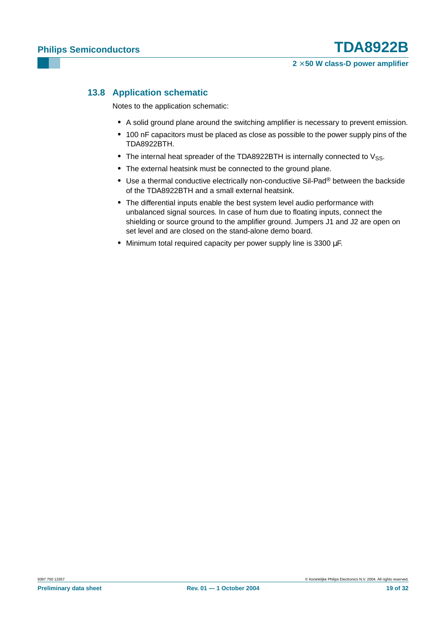### <span id="page-18-0"></span>**13.8 Application schematic**

Notes to the application schematic:

- **•** A solid ground plane around the switching amplifier is necessary to prevent emission.
- **•** 100 nF capacitors must be placed as close as possible to the power supply pins of the TDA8922BTH.
- The internal heat spreader of the TDA8922BTH is internally connected to V<sub>SS</sub>.
- **•** The external heatsink must be connected to the ground plane.
- **•** Use a thermal conductive electrically non-conductive Sil-Pad® between the backside of the TDA8922BTH and a small external heatsink.
- **•** The differential inputs enable the best system level audio performance with unbalanced signal sources. In case of hum due to floating inputs, connect the shielding or source ground to the amplifier ground. Jumpers J1 and J2 are open on set level and are closed on the stand-alone demo board.
- **•** Minimum total required capacity per power supply line is 3300 µF.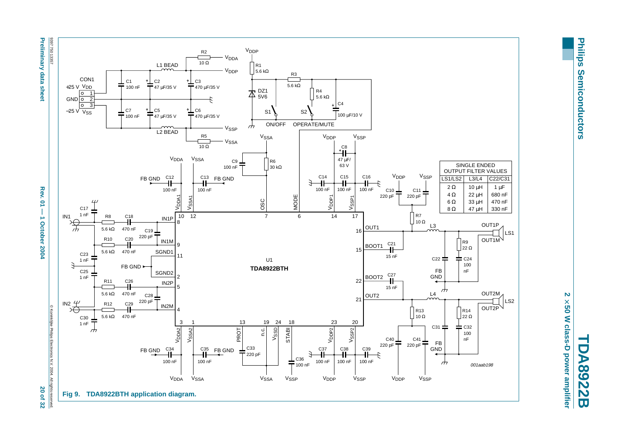







Philips **Philips Semiconductors Semiconductors** 

**TDA8922B** 2 × 50 W class-D power amplifier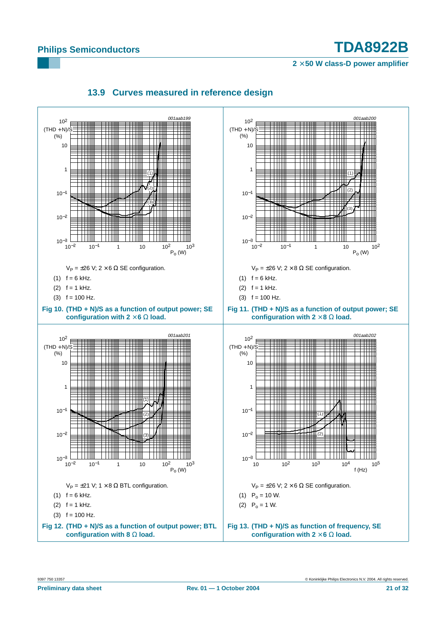**2** × **50 W class-D power amplifier**

<span id="page-20-0"></span>

### **13.9 Curves measured in reference design**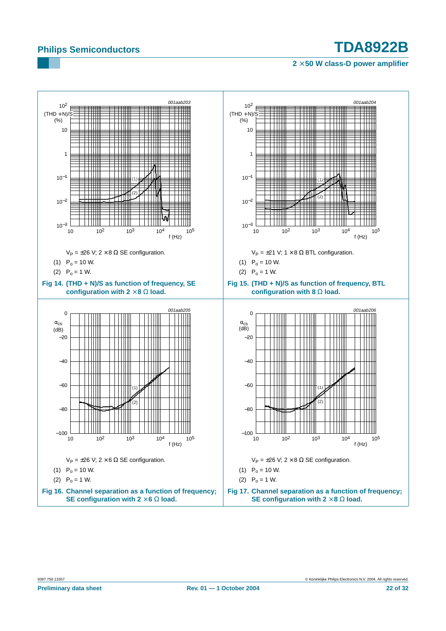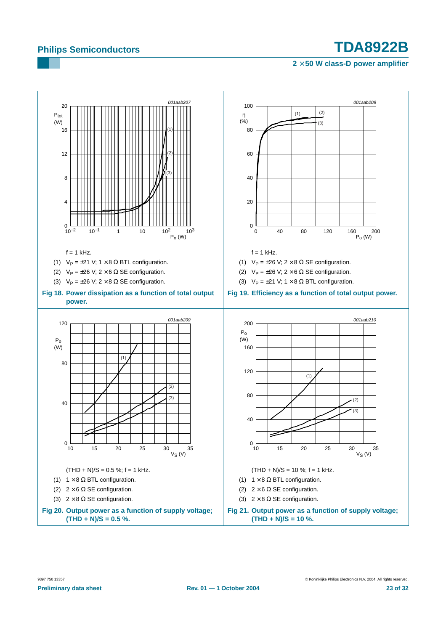<span id="page-22-1"></span><span id="page-22-0"></span>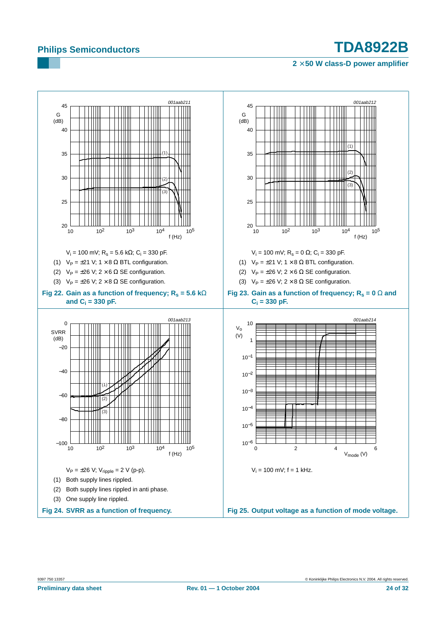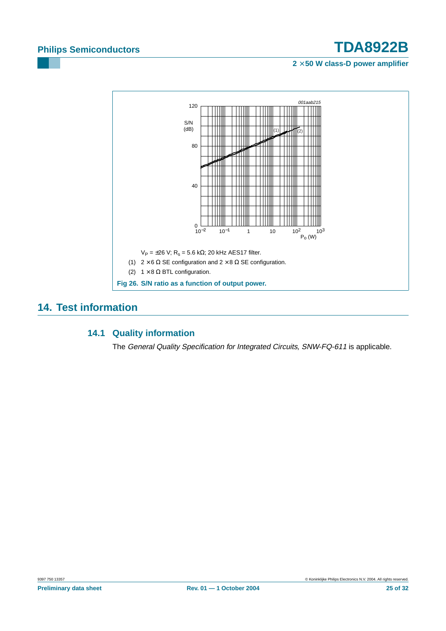**2** × **50 W class-D power amplifier**



### <span id="page-24-1"></span><span id="page-24-0"></span>**14. Test information**

### **14.1 Quality information**

The General Quality Specification for Integrated Circuits, SNW-FQ-611 is applicable.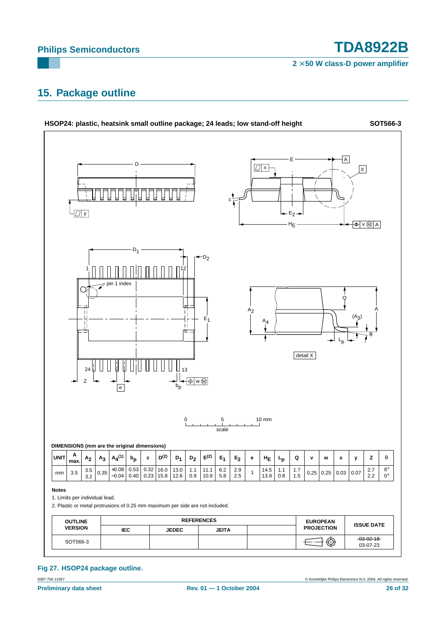**2** × **50 W class-D power amplifier**

### <span id="page-25-0"></span>**15. Package outline**



9397 750 13357 © Koninklijke Philips Electronics N.V. 2004. All rights reserved. **Fig 27. HSOP24 package outline.**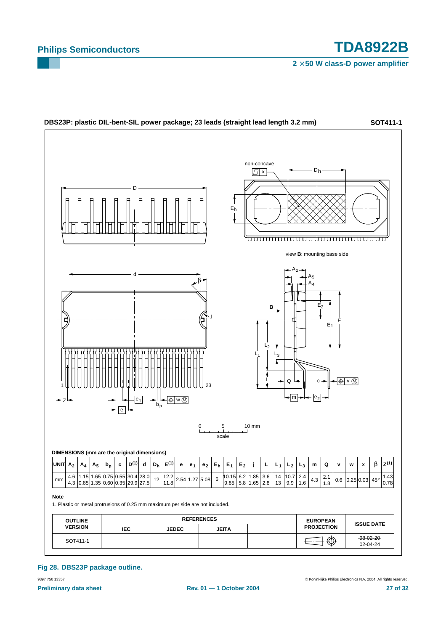**2** × **50 W class-D power amplifier**



**Fig 28. DBS23P package outline.**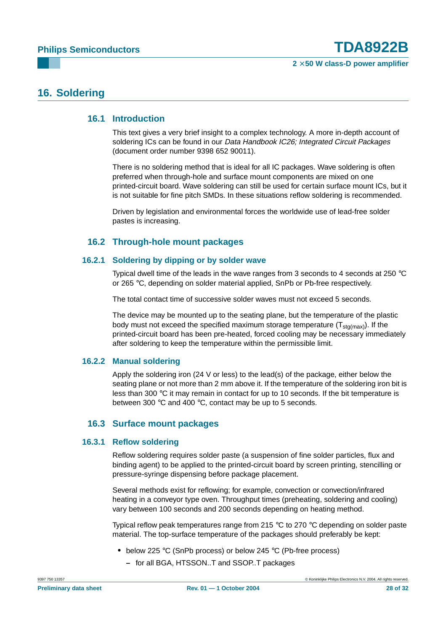### <span id="page-27-1"></span><span id="page-27-0"></span>**16. Soldering**

### **16.1 Introduction**

This text gives a very brief insight to a complex technology. A more in-depth account of soldering ICs can be found in our Data Handbook IC26; Integrated Circuit Packages (document order number 9398 652 90011).

There is no soldering method that is ideal for all IC packages. Wave soldering is often preferred when through-hole and surface mount components are mixed on one printed-circuit board. Wave soldering can still be used for certain surface mount ICs, but it is not suitable for fine pitch SMDs. In these situations reflow soldering is recommended.

Driven by legislation and environmental forces the worldwide use of lead-free solder pastes is increasing.

### **16.2 Through-hole mount packages**

### <span id="page-27-3"></span><span id="page-27-2"></span>**16.2.1 Soldering by dipping or by solder wave**

Typical dwell time of the leads in the wave ranges from 3 seconds to 4 seconds at 250 °C or 265 °C, depending on solder material applied, SnPb or Pb-free respectively.

The total contact time of successive solder waves must not exceed 5 seconds.

The device may be mounted up to the seating plane, but the temperature of the plastic body must not exceed the specified maximum storage temperature  $(T_{\text{std(max)}})$ . If the printed-circuit board has been pre-heated, forced cooling may be necessary immediately after soldering to keep the temperature within the permissible limit.

### <span id="page-27-4"></span>**16.2.2 Manual soldering**

Apply the soldering iron (24 V or less) to the lead(s) of the package, either below the seating plane or not more than 2 mm above it. If the temperature of the soldering iron bit is less than 300  $\degree$ C it may remain in contact for up to 10 seconds. If the bit temperature is between 300 °C and 400 °C, contact may be up to 5 seconds.

### **16.3 Surface mount packages**

### <span id="page-27-6"></span><span id="page-27-5"></span>**16.3.1 Reflow soldering**

Reflow soldering requires solder paste (a suspension of fine solder particles, flux and binding agent) to be applied to the printed-circuit board by screen printing, stencilling or pressure-syringe dispensing before package placement.

Several methods exist for reflowing; for example, convection or convection/infrared heating in a conveyor type oven. Throughput times (preheating, soldering and cooling) vary between 100 seconds and 200 seconds depending on heating method.

Typical reflow peak temperatures range from 215 °C to 270 °C depending on solder paste material. The top-surface temperature of the packages should preferably be kept:

- **•** below 225 °C (SnPb process) or below 245 °C (Pb-free process)
	- **–** for all BGA, HTSSON..T and SSOP..T packages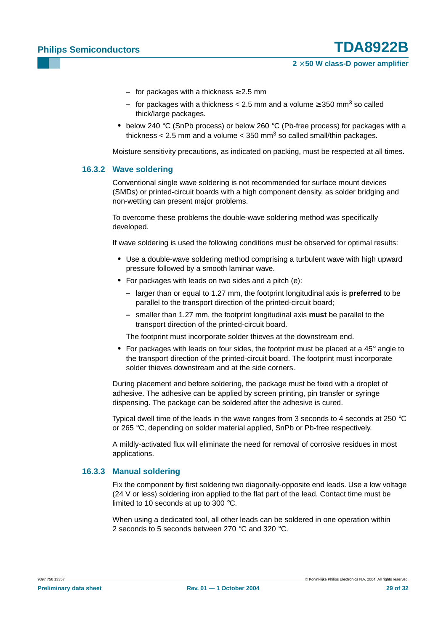### **2** × **50 W class-D power amplifier**

- **–** for packages with a thickness ≥ 2.5 mm
- **–** for packages with a thickness < 2.5 mm and a volume ≥ 350 mm3 so called thick/large packages.
- **•** below 240 °C (SnPb process) or below 260 °C (Pb-free process) for packages with a thickness  $< 2.5$  mm and a volume  $< 350$  mm<sup>3</sup> so called small/thin packages.

Moisture sensitivity precautions, as indicated on packing, must be respected at all times.

### <span id="page-28-0"></span>**16.3.2 Wave soldering**

Conventional single wave soldering is not recommended for surface mount devices (SMDs) or printed-circuit boards with a high component density, as solder bridging and non-wetting can present major problems.

To overcome these problems the double-wave soldering method was specifically developed.

If wave soldering is used the following conditions must be observed for optimal results:

- **•** Use a double-wave soldering method comprising a turbulent wave with high upward pressure followed by a smooth laminar wave.
- **•** For packages with leads on two sides and a pitch (e):
	- **–** larger than or equal to 1.27 mm, the footprint longitudinal axis is **preferred** to be parallel to the transport direction of the printed-circuit board;
	- **–** smaller than 1.27 mm, the footprint longitudinal axis **must** be parallel to the transport direction of the printed-circuit board.

The footprint must incorporate solder thieves at the downstream end.

**•** For packages with leads on four sides, the footprint must be placed at a 45° angle to the transport direction of the printed-circuit board. The footprint must incorporate solder thieves downstream and at the side corners.

During placement and before soldering, the package must be fixed with a droplet of adhesive. The adhesive can be applied by screen printing, pin transfer or syringe dispensing. The package can be soldered after the adhesive is cured.

Typical dwell time of the leads in the wave ranges from 3 seconds to 4 seconds at 250  $^{\circ}$ C or 265 °C, depending on solder material applied, SnPb or Pb-free respectively.

A mildly-activated flux will eliminate the need for removal of corrosive residues in most applications.

### <span id="page-28-1"></span>**16.3.3 Manual soldering**

Fix the component by first soldering two diagonally-opposite end leads. Use a low voltage (24 V or less) soldering iron applied to the flat part of the lead. Contact time must be limited to 10 seconds at up to 300 °C.

When using a dedicated tool, all other leads can be soldered in one operation within 2 seconds to 5 seconds between 270 °C and 320 °C.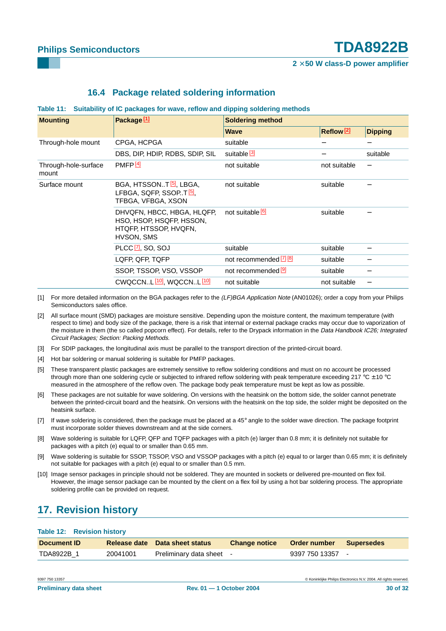#### **2** × **50 W class-D power amplifier**

### **16.4 Package related soldering information**

#### <span id="page-29-0"></span>**Table 11: Suitability of IC packages for wave, reflow and dipping soldering methods**

| <b>Mounting</b>               | Package <sup>[1]</sup>                                                                            | <b>Soldering method</b>     |                       |                          |  |
|-------------------------------|---------------------------------------------------------------------------------------------------|-----------------------------|-----------------------|--------------------------|--|
|                               |                                                                                                   | <b>Wave</b>                 | Reflow <sup>[2]</sup> | <b>Dipping</b>           |  |
| Through-hole mount            | CPGA, HCPGA                                                                                       | suitable                    |                       |                          |  |
|                               | DBS, DIP, HDIP, RDBS, SDIP, SIL                                                                   | suitable <sup>[3]</sup>     |                       | suitable                 |  |
| Through-hole-surface<br>mount | PMFP <sub>[4]</sub>                                                                               | not suitable                | not suitable          | $\overline{\phantom{0}}$ |  |
| Surface mount                 | BGA, HTSSONT <sup>[5]</sup> , LBGA,<br>LFBGA, SQFP, SSOPT. <sup>[5]</sup> ,<br>TFBGA, VFBGA, XSON | not suitable                | suitable              |                          |  |
|                               | DHVQFN, HBCC, HBGA, HLQFP,<br>HSO, HSOP, HSQFP, HSSON,<br>HTQFP, HTSSOP, HVQFN,<br>HVSON, SMS     | not suitable <sup>[6]</sup> | suitable              |                          |  |
|                               | PLCC $\boxed{7}$ , SO, SOJ                                                                        | suitable                    | suitable              |                          |  |
|                               | LQFP, QFP, TQFP                                                                                   | not recommended [7] [8]     | suitable              |                          |  |
|                               | SSOP, TSSOP, VSO, VSSOP                                                                           | not recommended [9]         | suitable              |                          |  |
|                               | CWQCCNL [10], WQCCNL [10]                                                                         | not suitable                | not suitable          |                          |  |

- [1] For more detailed information on the BGA packages refer to the (LF)BGA Application Note (AN01026); order a copy from your Philips Semiconductors sales office.
- [2] All surface mount (SMD) packages are moisture sensitive. Depending upon the moisture content, the maximum temperature (with respect to time) and body size of the package, there is a risk that internal or external package cracks may occur due to vaporization of the moisture in them (the so called popcorn effect). For details, refer to the Drypack information in the Data Handbook IC26; Integrated Circuit Packages; Section: Packing Methods.
- [3] For SDIP packages, the longitudinal axis must be parallel to the transport direction of the printed-circuit board.
- [4] Hot bar soldering or manual soldering is suitable for PMFP packages.
- [5] These transparent plastic packages are extremely sensitive to reflow soldering conditions and must on no account be processed through more than one soldering cycle or subjected to infrared reflow soldering with peak temperature exceeding 217  $^{\circ}$ C  $\pm$  10  $^{\circ}$ C measured in the atmosphere of the reflow oven. The package body peak temperature must be kept as low as possible.
- [6] These packages are not suitable for wave soldering. On versions with the heatsink on the bottom side, the solder cannot penetrate between the printed-circuit board and the heatsink. On versions with the heatsink on the top side, the solder might be deposited on the heatsink surface.
- [7] If wave soldering is considered, then the package must be placed at a 45° angle to the solder wave direction. The package footprint must incorporate solder thieves downstream and at the side corners.
- [8] Wave soldering is suitable for LQFP, QFP and TQFP packages with a pitch (e) larger than 0.8 mm; it is definitely not suitable for packages with a pitch (e) equal to or smaller than 0.65 mm.
- [9] Wave soldering is suitable for SSOP, TSSOP, VSO and VSSOP packages with a pitch (e) equal to or larger than 0.65 mm; it is definitely not suitable for packages with a pitch (e) equal to or smaller than 0.5 mm.
- [10] Image sensor packages in principle should not be soldered. They are mounted in sockets or delivered pre-mounted on flex foil. However, the image sensor package can be mounted by the client on a flex foil by using a hot bar soldering process. The appropriate soldering profile can be provided on request.

## <span id="page-29-1"></span>**17. Revision history**

#### **Table 12: Revision history**

| Document <b>ID</b> |          | Release date Data sheet status | Change notice Order number Supersedes |                |  |
|--------------------|----------|--------------------------------|---------------------------------------|----------------|--|
| TDA8922B 1         | 20041001 | Preliminary data sheet -       |                                       | 9397 750 13357 |  |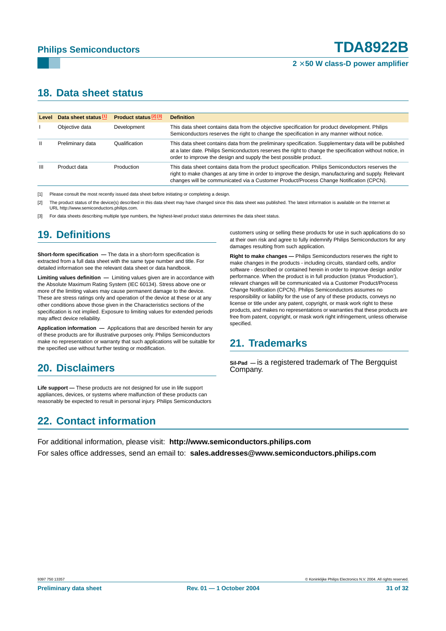### <span id="page-30-0"></span>**18. Data sheet status**

| Level        | Data sheet status <sup>[1]</sup> | Product status <sup>[2][3]</sup> | <b>Definition</b>                                                                                                                                                                                                                                                                                    |
|--------------|----------------------------------|----------------------------------|------------------------------------------------------------------------------------------------------------------------------------------------------------------------------------------------------------------------------------------------------------------------------------------------------|
|              | Objective data                   | Development                      | This data sheet contains data from the objective specification for product development. Philips<br>Semiconductors reserves the right to change the specification in any manner without notice.                                                                                                       |
| $\mathbf{H}$ | Preliminary data                 | Qualification                    | This data sheet contains data from the preliminary specification. Supplementary data will be published<br>at a later date. Philips Semiconductors reserves the right to change the specification without notice, in<br>order to improve the design and supply the best possible product.             |
| Ш            | Product data                     | Production                       | This data sheet contains data from the product specification. Philips Semiconductors reserves the<br>right to make changes at any time in order to improve the design, manufacturing and supply. Relevant<br>changes will be communicated via a Customer Product/Process Change Notification (CPCN). |

[1] Please consult the most recently issued data sheet before initiating or completing a design.

[2] The product status of the device(s) described in this data sheet may have changed since this data sheet was published. The latest information is available on the Internet at URL http://www.semiconductors.philips.com.

[3] For data sheets describing multiple type numbers, the highest-level product status determines the data sheet status.

# <span id="page-30-1"></span>**19. Definitions**

**Short-form specification —** The data in a short-form specification is extracted from a full data sheet with the same type number and title. For detailed information see the relevant data sheet or data handbook.

**Limiting values definition —** Limiting values given are in accordance with the Absolute Maximum Rating System (IEC 60134). Stress above one or more of the limiting values may cause permanent damage to the device. These are stress ratings only and operation of the device at these or at any other conditions above those given in the Characteristics sections of the specification is not implied. Exposure to limiting values for extended periods may affect device reliability.

**Application information —** Applications that are described herein for any of these products are for illustrative purposes only. Philips Semiconductors make no representation or warranty that such applications will be suitable for the specified use without further testing or modification.

## <span id="page-30-2"></span>**20. Disclaimers**

**Life support —** These products are not designed for use in life support appliances, devices, or systems where malfunction of these products can reasonably be expected to result in personal injury. Philips Semiconductors

# <span id="page-30-4"></span>**22. Contact information**

customers using or selling these products for use in such applications do so at their own risk and agree to fully indemnify Philips Semiconductors for any damages resulting from such application.

**Right to make changes —** Philips Semiconductors reserves the right to make changes in the products - including circuits, standard cells, and/or software - described or contained herein in order to improve design and/or performance. When the product is in full production (status 'Production'), relevant changes will be communicated via a Customer Product/Process Change Notification (CPCN). Philips Semiconductors assumes no responsibility or liability for the use of any of these products, conveys no license or title under any patent, copyright, or mask work right to these products, and makes no representations or warranties that these products are free from patent, copyright, or mask work right infringement, unless otherwise specified.

## <span id="page-30-3"></span>**21. Trademarks**

**Sil-Pad —** is a registered trademark of The Bergquist Company.

For additional information, please visit: **http://www.semiconductors.philips.com** For sales office addresses, send an email to: **sales.addresses@www.semiconductors.philips.com**